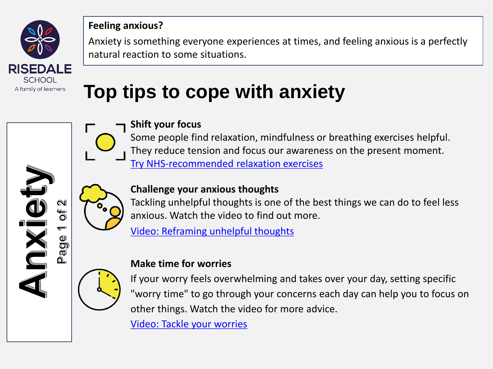

#### **Feeling anxious?**

Anxiety is something everyone experiences at times, and feeling anxious is a perfectly natural reaction to some situations.

# **Top tips to cope with anxiety**

#### **Shift your focus**

Some people find relaxation, mindfulness or breathing exercises helpful. They reduce tension and focus our awareness on the present moment. [Try NHS-recommended relaxation exercises](https://www.cntw.nhs.uk/resource-library/relaxation-techniques/)



i<br>O

90  $\overline{\mathbb{C}}$ 

## **Challenge your anxious thoughts**

Tackling unhelpful thoughts is one of the best things we can do to feel less anxious. Watch the video to find out more.

[Video: Reframing unhelpful thoughts](https://bcove.video/2mmEsTx)



### **Make time for worries**

If your worry feels overwhelming and takes over your day, setting specific "worry time" to go through your concerns each day can help you to focus on other things. Watch the video for more advice.

[Video: Tackle your worries](https://bcove.video/2lCXuEI)